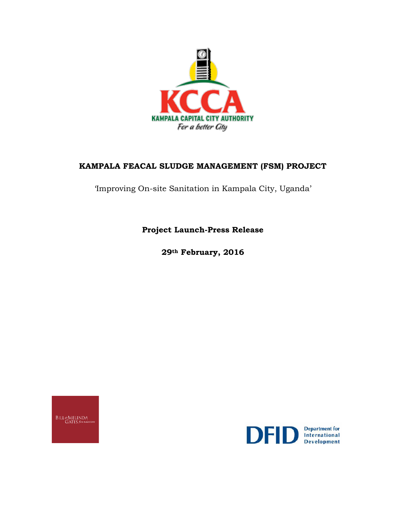

# **KAMPALA FEACAL SLUDGE MANAGEMENT (FSM) PROJECT**

'Improving On-site Sanitation in Kampala City, Uganda'

**Project Launch-Press Release**

**29th February, 2016**

BILL&MELINDA<br>GATES foundation

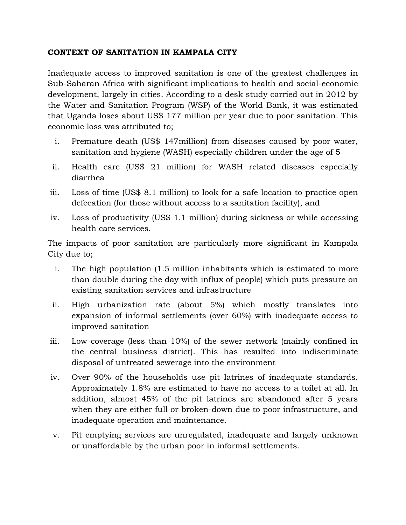#### **CONTEXT OF SANITATION IN KAMPALA CITY**

Inadequate access to improved sanitation is one of the greatest challenges in Sub-Saharan Africa with significant implications to health and social-economic development, largely in cities. According to a desk study carried out in 2012 by the Water and Sanitation Program (WSP) of the World Bank, it was estimated that Uganda loses about US\$ 177 million per year due to poor sanitation. This economic loss was attributed to;

- i. Premature death (US\$ 147million) from diseases caused by poor water, sanitation and hygiene (WASH) especially children under the age of 5
- ii. Health care (US\$ 21 million) for WASH related diseases especially diarrhea
- iii. Loss of time (US\$ 8.1 million) to look for a safe location to practice open defecation (for those without access to a sanitation facility), and
- iv. Loss of productivity (US\$ 1.1 million) during sickness or while accessing health care services.

The impacts of poor sanitation are particularly more significant in Kampala City due to;

- i. The high population (1.5 million inhabitants which is estimated to more than double during the day with influx of people) which puts pressure on existing sanitation services and infrastructure
- ii. High urbanization rate (about 5%) which mostly translates into expansion of informal settlements (over 60%) with inadequate access to improved sanitation
- iii. Low coverage (less than 10%) of the sewer network (mainly confined in the central business district). This has resulted into indiscriminate disposal of untreated sewerage into the environment
- iv. Over 90% of the households use pit latrines of inadequate standards. Approximately 1.8% are estimated to have no access to a toilet at all. In addition, almost 45% of the pit latrines are abandoned after 5 years when they are either full or broken-down due to poor infrastructure, and inadequate operation and maintenance.
- v. Pit emptying services are unregulated, inadequate and largely unknown or unaffordable by the urban poor in informal settlements.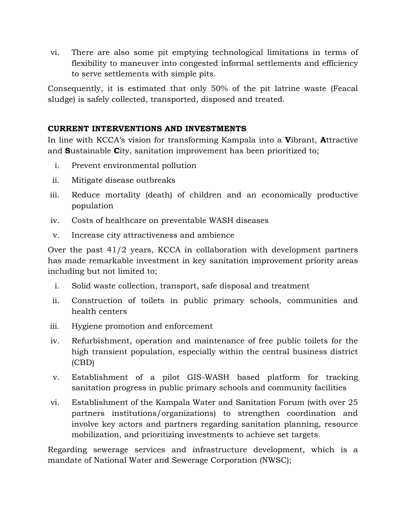vi. There are also some pit emptying technological limitations in terms of flexibility to maneuver into congested informal settlements and efficiency to serve settlements with simple pits.

Consequently, it is estimated that only 50% of the pit latrine waste (Feacal sludge) is safely collected, transported, disposed and treated.

## **CURRENT INTERVENTIONS AND INVESTMENTS**

In line with KCCA's vision for transforming Kampala into a **V**ibrant, **A**ttractive and **S**ustainable **C**ity, sanitation improvement has been prioritized to;

- i. Prevent environmental pollution
- ii. Mitigate disease outbreaks
- iii. Reduce mortality (death) of children and an economically productive population
- iv. Costs of healthcare on preventable WASH diseases
- v. Increase city attractiveness and ambience

Over the past 41/2 years, KCCA in collaboration with development partners has made remarkable investment in key sanitation improvement priority areas including but not limited to;

- i. Solid waste collection, transport, safe disposal and treatment
- ii. Construction of toilets in public primary schools, communities and health centers
- iii. Hygiene promotion and enforcement
- iv. Refurbishment, operation and maintenance of free public toilets for the high transient population, especially within the central business district (CBD)
- v. Establishment of a pilot GIS-WASH based platform for tracking sanitation progress in public primary schools and community facilities
- vi. Establishment of the Kampala Water and Sanitation Forum (with over 25 partners institutions/organizations) to strengthen coordination and involve key actors and partners regarding sanitation planning, resource mobilization, and prioritizing investments to achieve set targets.

Regarding sewerage services and infrastructure development, which is a mandate of National Water and Sewerage Corporation (NWSC);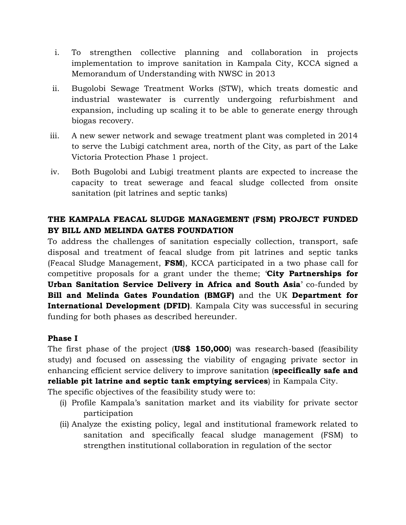- i. To strengthen collective planning and collaboration in projects implementation to improve sanitation in Kampala City, KCCA signed a Memorandum of Understanding with NWSC in 2013
- ii. Bugolobi Sewage Treatment Works (STW), which treats domestic and industrial wastewater is currently undergoing refurbishment and expansion, including up scaling it to be able to generate energy through biogas recovery.
- iii. A new sewer network and sewage treatment plant was completed in 2014 to serve the Lubigi catchment area, north of the City, as part of the Lake Victoria Protection Phase 1 project.
- iv. Both Bugolobi and Lubigi treatment plants are expected to increase the capacity to treat sewerage and feacal sludge collected from onsite sanitation (pit latrines and septic tanks)

# **THE KAMPALA FEACAL SLUDGE MANAGEMENT (FSM) PROJECT FUNDED BY BILL AND MELINDA GATES FOUNDATION**

To address the challenges of sanitation especially collection, transport, safe disposal and treatment of feacal sludge from pit latrines and septic tanks (Feacal Sludge Management, **FSM**), KCCA participated in a two phase call for competitive proposals for a grant under the theme; '**City Partnerships for Urban Sanitation Service Delivery in Africa and South Asia**' co-funded by **Bill and Melinda Gates Foundation (BMGF)** and the UK **Department for International Development (DFID)**. Kampala City was successful in securing funding for both phases as described hereunder.

### **Phase I**

The first phase of the project (**US\$ 150,000**) was research-based (feasibility study) and focused on assessing the viability of engaging private sector in enhancing efficient service delivery to improve sanitation (**specifically safe and reliable pit latrine and septic tank emptying services**) in Kampala City.

The specific objectives of the feasibility study were to:

- (i) Profile Kampala's sanitation market and its viability for private sector participation
- (ii) Analyze the existing policy, legal and institutional framework related to sanitation and specifically feacal sludge management (FSM) to strengthen institutional collaboration in regulation of the sector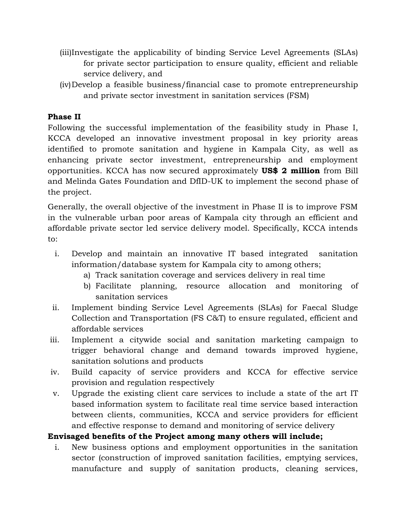- (iii)Investigate the applicability of binding Service Level Agreements (SLAs) for private sector participation to ensure quality, efficient and reliable service delivery, and
- (iv)Develop a feasible business/financial case to promote entrepreneurship and private sector investment in sanitation services (FSM)

# **Phase II**

Following the successful implementation of the feasibility study in Phase I, KCCA developed an innovative investment proposal in key priority areas identified to promote sanitation and hygiene in Kampala City, as well as enhancing private sector investment, entrepreneurship and employment opportunities. KCCA has now secured approximately **US\$ 2 million** from Bill and Melinda Gates Foundation and DfID-UK to implement the second phase of the project.

Generally, the overall objective of the investment in Phase II is to improve FSM in the vulnerable urban poor areas of Kampala city through an efficient and affordable private sector led service delivery model. Specifically, KCCA intends to:

- i. Develop and maintain an innovative IT based integrated sanitation information/database system for Kampala city to among others;
	- a) Track sanitation coverage and services delivery in real time
	- b) Facilitate planning, resource allocation and monitoring of sanitation services
- ii. Implement binding Service Level Agreements (SLAs) for Faecal Sludge Collection and Transportation (FS C&T) to ensure regulated, efficient and affordable services
- iii. Implement a citywide social and sanitation marketing campaign to trigger behavioral change and demand towards improved hygiene, sanitation solutions and products
- iv. Build capacity of service providers and KCCA for effective service provision and regulation respectively
- v. Upgrade the existing client care services to include a state of the art IT based information system to facilitate real time service based interaction between clients, communities, KCCA and service providers for efficient and effective response to demand and monitoring of service delivery

### **Envisaged benefits of the Project among many others will include;**

i. New business options and employment opportunities in the sanitation sector (construction of improved sanitation facilities, emptying services, manufacture and supply of sanitation products, cleaning services,